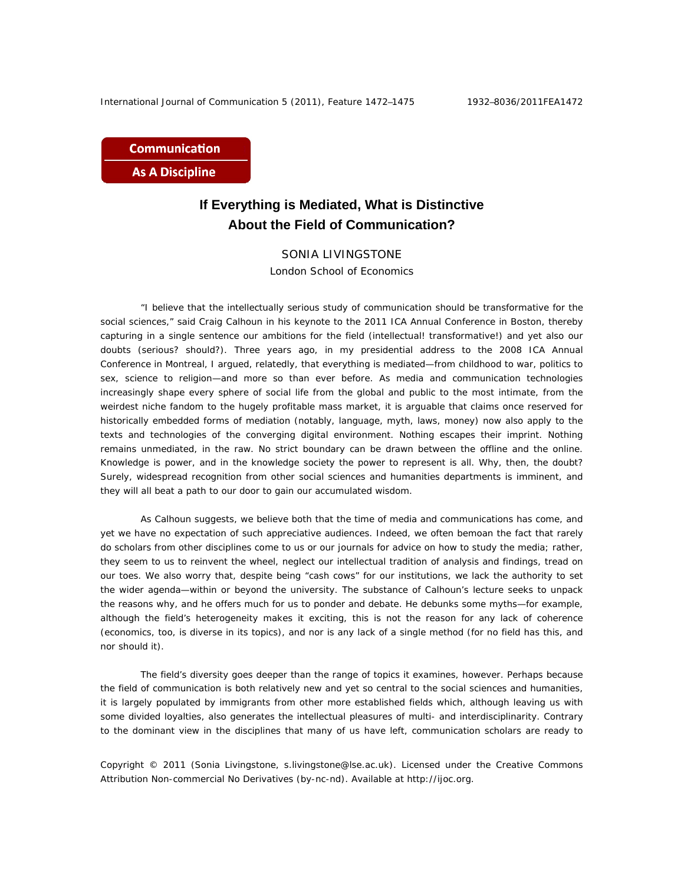**Communication As A Discipline** 

## **If Everything is Mediated, What is Distinctive About the Field of Communication?**

## SONIA LIVINGSTONE

London School of Economics

"I believe that the intellectually serious study of communication should be transformative for the social sciences," said Craig Calhoun in his keynote to the 2011 ICA Annual Conference in Boston, thereby capturing in a single sentence our ambitions for the field (intellectual! transformative!) and yet also our doubts (serious? should?). Three years ago, in my presidential address to the 2008 ICA Annual Conference in Montreal, I argued, relatedly, that everything is mediated—from childhood to war, politics to sex, science to religion—and more so than ever before. As media and communication technologies increasingly shape every sphere of social life from the global and public to the most intimate, from the weirdest niche fandom to the hugely profitable mass market, it is arguable that claims once reserved for historically embedded forms of mediation (notably, language, myth, laws, money) now also apply to the texts and technologies of the converging digital environment. Nothing escapes their imprint. Nothing remains unmediated, in the raw. No strict boundary can be drawn between the offline and the online. Knowledge is power, and in the knowledge society the power to represent is all. Why, then, the doubt? Surely, widespread recognition from other social sciences and humanities departments is imminent, and they will all beat a path to our door to gain our accumulated wisdom.

As Calhoun suggests, we believe both that the time of media and communications has come, and yet we have no expectation of such appreciative audiences. Indeed, we often bemoan the fact that rarely do scholars from other disciplines come to us or our journals for advice on how to study the media; rather, they seem to us to reinvent the wheel, neglect our intellectual tradition of analysis and findings, tread on our toes. We also worry that, despite being "cash cows" for our institutions, we lack the authority to set the wider agenda—within or beyond the university. The substance of Calhoun's lecture seeks to unpack the reasons why, and he offers much for us to ponder and debate. He debunks some myths—for example, although the field's heterogeneity makes it exciting, this is not the reason for any lack of coherence (economics, too, is diverse in its topics), and nor is any lack of a single method (for no field has this, and nor should it).

The field's diversity goes deeper than the range of topics it examines, however. Perhaps because the field of communication is both relatively new and yet so central to the social sciences and humanities, it is largely populated by immigrants from other more established fields which, although leaving us with some divided loyalties, also generates the intellectual pleasures of multi- and interdisciplinarity. Contrary to the dominant view in the disciplines that many of us have left, communication scholars are ready to

Copyright © 2011 (Sonia Livingstone, s.livingstone@lse.ac.uk). Licensed under the Creative Commons Attribution Non-commercial No Derivatives (by-nc-nd). Available at http://ijoc.org.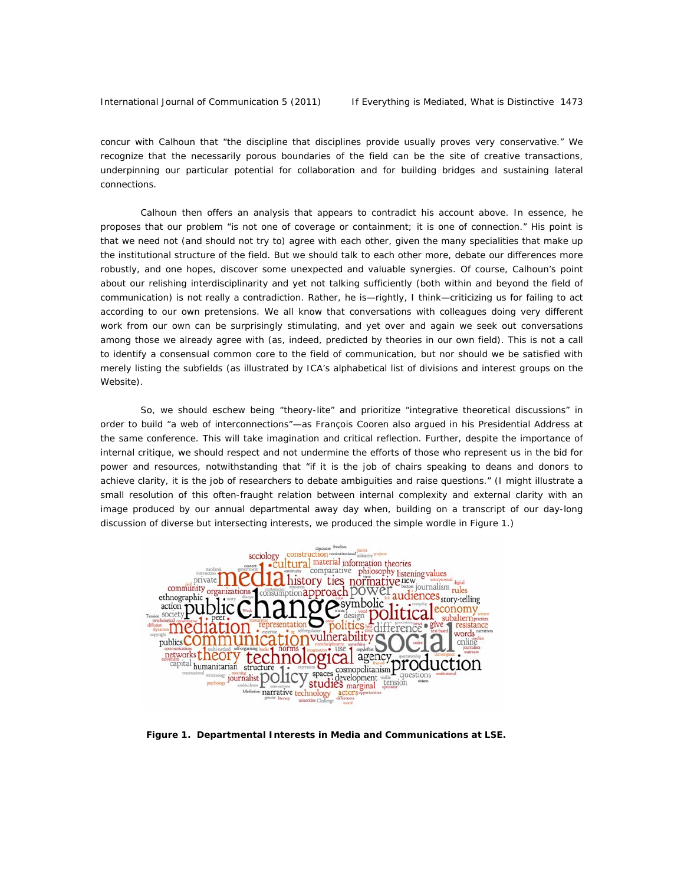concur with Calhoun that "the discipline that disciplines provide usually proves very conservative." We recognize that the necessarily porous boundaries of the field can be the site of creative transactions, underpinning our particular potential for collaboration and for building bridges and sustaining lateral connections.

Calhoun then offers an analysis that appears to contradict his account above. In essence, he proposes that our problem "is not one of coverage or containment; it is one of connection." His point is that we need not (and should not try to) agree with each other, given the many specialities that make up the institutional structure of the field. But we should talk to each other more, debate our differences more robustly, and one hopes, discover some unexpected and valuable synergies. Of course, Calhoun's point about our relishing interdisciplinarity and yet not talking sufficiently (both within and beyond the field of communication) is not really a contradiction. Rather, he is—rightly, I think—criticizing us for failing to act according to our own pretensions. We all know that conversations with colleagues doing very different work from our own can be surprisingly stimulating, and yet over and again we seek out conversations among those we already agree with (as, indeed, predicted by theories in our own field). This is not a call to identify a consensual common core to the field of communication, but nor should we be satisfied with merely listing the subfields (as illustrated by ICA's alphabetical list of divisions and interest groups on the Website).

So, we should eschew being "theory-lite" and prioritize "integrative theoretical discussions" in order to build "a web of interconnections"—as François Cooren also argued in his Presidential Address at the same conference. This will take imagination and critical reflection. Further, despite the importance of internal critique, we should respect and not undermine the efforts of those who represent us in the bid for power and resources, notwithstanding that "if it is the job of chairs speaking to deans and donors to achieve clarity, it is the job of researchers to debate ambiguities and raise questions." (I might illustrate a small resolution of this often-fraught relation between internal complexity and external clarity with an image produced by our annual departmental away day when, building on a transcript of our day-long discussion of diverse but intersecting interests, we produced the simple wordle in Figure 1.)



 *Figure 1. Departmental Interests in Media and Communications at LSE.*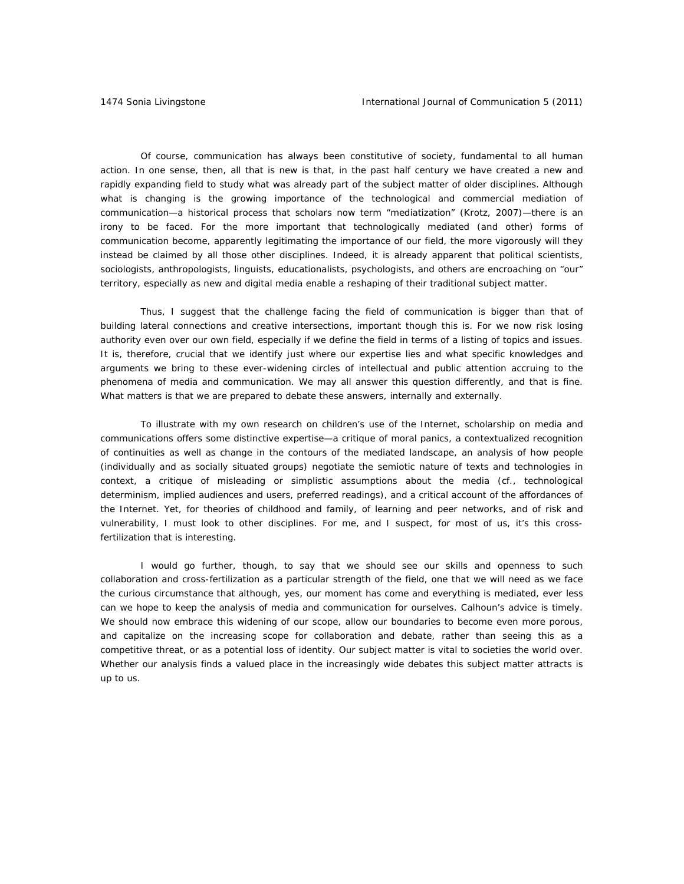Of course, communication has always been constitutive of society, fundamental to all human action. In one sense, then, all that is new is that, in the past half century we have created a new and rapidly expanding field to study what was already part of the subject matter of older disciplines. Although what is changing is the growing importance of the technological and commercial mediation of communication—a historical process that scholars now term "mediatization" (Krotz, 2007)—there is an irony to be faced. For the more important that technologically mediated (and other) forms of communication become, apparently legitimating the importance of our field, the more vigorously will they instead be claimed by all those other disciplines. Indeed, it is already apparent that political scientists, sociologists, anthropologists, linguists, educationalists, psychologists, and others are encroaching on "our" territory, especially as new and digital media enable a reshaping of their traditional subject matter.

Thus, I suggest that the challenge facing the field of communication is bigger than that of building lateral connections and creative intersections, important though this is. For we now risk losing authority even over our own field, especially if we define the field in terms of a listing of topics and issues. It is, therefore, crucial that we identify just where our expertise lies and what specific knowledges and arguments we bring to these ever-widening circles of intellectual and public attention accruing to the phenomena of media and communication. We may all answer this question differently, and that is fine. What matters is that we are prepared to debate these answers, internally and externally.

To illustrate with my own research on children's use of the Internet, scholarship on media and communications offers some distinctive expertise—a critique of moral panics, a contextualized recognition of continuities as well as change in the contours of the mediated landscape, an analysis of how people (individually and as socially situated groups) negotiate the semiotic nature of texts and technologies in context, a critique of misleading or simplistic assumptions about the media (cf., technological determinism, implied audiences and users, preferred readings), and a critical account of the affordances of the Internet. Yet, for theories of childhood and family, of learning and peer networks, and of risk and vulnerability, I must look to other disciplines. For me, and I suspect, for most of us, it's this crossfertilization that is interesting.

I would go further, though, to say that we should see our skills and openness to such collaboration and cross-fertilization as a particular strength of the field, one that we will need as we face the curious circumstance that although, yes, our moment has come and everything is mediated, ever less can we hope to keep the analysis of media and communication for ourselves. Calhoun's advice is timely. We should now embrace this widening of our scope, allow our boundaries to become even more porous, and capitalize on the increasing scope for collaboration and debate, rather than seeing this as a competitive threat, or as a potential loss of identity. Our subject matter is vital to societies the world over. Whether our analysis finds a valued place in the increasingly wide debates this subject matter attracts is up to us.